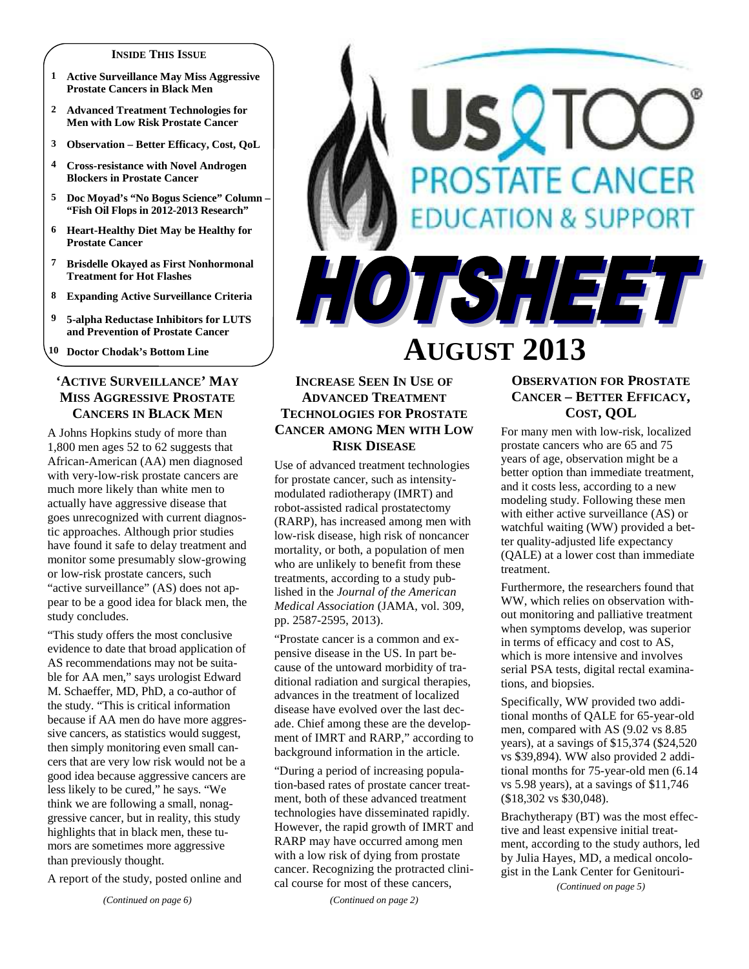#### **INSIDE THIS ISSUE**

- **1 Active Surveillance May Miss Aggressive Prostate Cancers in Black Men**
- **2 Advanced Treatment Technologies for Men with Low Risk Prostate Cancer**
- **3 Observation Better Efficacy, Cost, QoL**
- **4 Cross-resistance with Novel Androgen Blockers in Prostate Cancer**
- **5 Doc Moyad's "No Bogus Science" Column "Fish Oil Flops in 2012-2013 Research"**
- **6 Heart-Healthy Diet May be Healthy for Prostate Cancer**
- **7 Brisdelle Okayed as First Nonhormonal Treatment for Hot Flashes**
- **8 Expanding Active Surveillance Criteria**
- **9 5-alpha Reductase Inhibitors for LUTS and Prevention of Prostate Cancer**
- **10 Doctor Chodak's Bottom Line**

## **'ACTIVE SURVEILLANCE' MAY MISS AGGRESSIVE PROSTATE CANCERS IN BLACK MEN**

A Johns Hopkins study of more than 1,800 men ages 52 to 62 suggests that African-American (AA) men diagnosed with very-low-risk prostate cancers are much more likely than white men to actually have aggressive disease that goes unrecognized with current diagnostic approaches. Although prior studies have found it safe to delay treatment and monitor some presumably slow-growing or low-risk prostate cancers, such "active surveillance" (AS) does not appear to be a good idea for black men, the study concludes.

"This study offers the most conclusive evidence to date that broad application of AS recommendations may not be suitable for AA men," says urologist Edward M. Schaeffer, MD, PhD, a co-author of the study. "This is critical information because if AA men do have more aggressive cancers, as statistics would suggest, then simply monitoring even small cancers that are very low risk would not be a good idea because aggressive cancers are less likely to be cured," he says. "We think we are following a small, nonaggressive cancer, but in reality, this study highlights that in black men, these tumors are sometimes more aggressive than previously thought.

A report of the study, posted online and

# **OSTATE CANCER ATION & SUPPORT** HOTSHEET **AUGUST 2013**

## **INCREASE SEEN IN USE OF ADVANCED TREATMENT TECHNOLOGIES FOR PROSTATE CANCER AMONG MEN WITH LOW RISK DISEASE**

Use of advanced treatment technologies for prostate cancer, such as intensitymodulated radiotherapy (IMRT) and robot-assisted radical prostatectomy (RARP), has increased among men with low-risk disease, high risk of noncancer mortality, or both, a population of men who are unlikely to benefit from these treatments, according to a study published in the *Journal of the American Medical Association* (JAMA, vol. 309, pp. 2587-2595, 2013).

"Prostate cancer is a common and expensive disease in the US. In part because of the untoward morbidity of traditional radiation and surgical therapies, advances in the treatment of localized disease have evolved over the last decade. Chief among these are the development of IMRT and RARP," according to background information in the article.

"During a period of increasing population-based rates of prostate cancer treatment, both of these advanced treatment technologies have disseminated rapidly. However, the rapid growth of IMRT and RARP may have occurred among men with a low risk of dying from prostate cancer. Recognizing the protracted clinical course for most of these cancers,

*(Continued on page 2)* 

## **OBSERVATION FOR PROSTATE CANCER – BETTER EFFICACY, COST, QOL**

For many men with low-risk, localized prostate cancers who are 65 and 75 years of age, observation might be a better option than immediate treatment, and it costs less, according to a new modeling study. Following these men with either active surveillance (AS) or watchful waiting (WW) provided a better quality-adjusted life expectancy (QALE) at a lower cost than immediate treatment.

Furthermore, the researchers found that WW, which relies on observation without monitoring and palliative treatment when symptoms develop, was superior in terms of efficacy and cost to AS, which is more intensive and involves serial PSA tests, digital rectal examinations, and biopsies.

Specifically, WW provided two additional months of QALE for 65-year-old men, compared with AS (9.02 vs 8.85 years), at a savings of \$15,374 (\$24,520 vs \$39,894). WW also provided 2 additional months for 75-year-old men (6.14 vs 5.98 years), at a savings of \$11,746 (\$18,302 vs \$30,048).

Brachytherapy (BT) was the most effective and least expensive initial treatment, according to the study authors, led by Julia Hayes, MD, a medical oncologist in the Lank Center for Genitouri-

*(Continued on page 5)*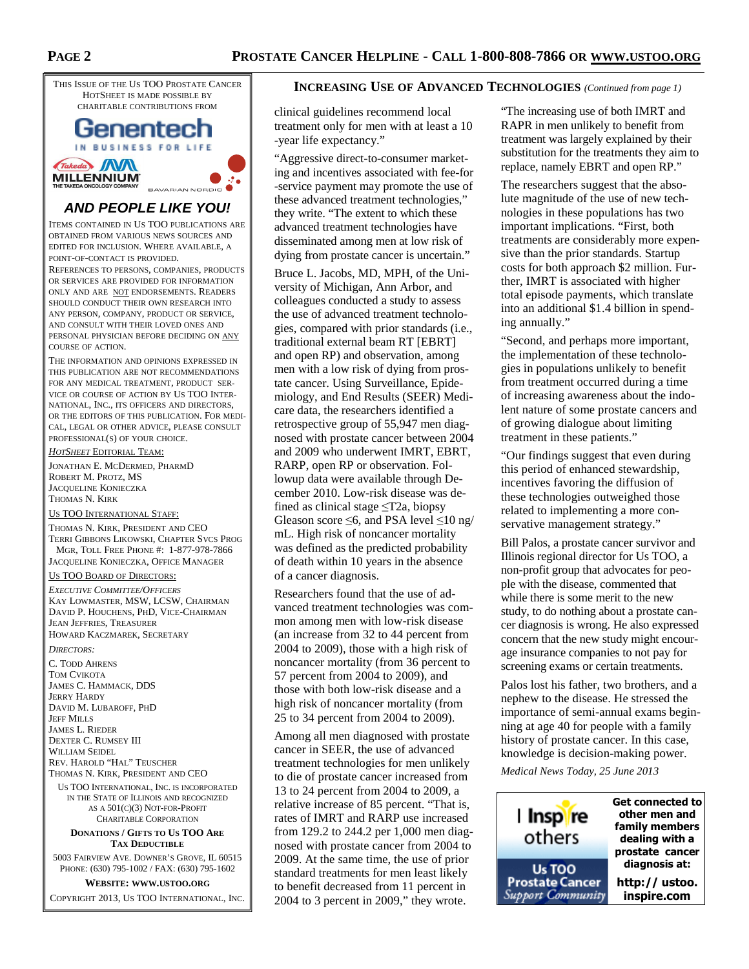

# **AND PEOPLE LIKE YOU!**

ITEMS CONTAINED IN US TOO PUBLICATIONS ARE OBTAINED FROM VARIOUS NEWS SOURCES AND EDITED FOR INCLUSION. WHERE AVAILABLE, A POINT-OF-CONTACT IS PROVIDED.

REFERENCES TO PERSONS, COMPANIES, PRODUCTS OR SERVICES ARE PROVIDED FOR INFORMATION ONLY AND ARE NOT ENDORSEMENTS. READERS SHOULD CONDUCT THEIR OWN RESEARCH INTO ANY PERSON, COMPANY, PRODUCT OR SERVICE, AND CONSULT WITH THEIR LOVED ONES AND PERSONAL PHYSICIAN BEFORE DECIDING ON ANY COURSE OF ACTION.

THE INFORMATION AND OPINIONS EXPRESSED IN THIS PUBLICATION ARE NOT RECOMMENDATIONS FOR ANY MEDICAL TREATMENT, PRODUCT SER-VICE OR COURSE OF ACTION BY US TOO INTER-NATIONAL, INC., ITS OFFICERS AND DIRECTORS, OR THE EDITORS OF THIS PUBLICATION. FOR MEDI-CAL, LEGAL OR OTHER ADVICE, PLEASE CONSULT PROFESSIONAL(S) OF YOUR CHOICE.

*HOTSHEET* EDITORIAL TEAM:

JONATHAN E. MCDERMED, PHARMD ROBERT M. PROTZ, MS JACQUELINE KONIECZKA THOMAS N. KIRK

#### US TOO INTERNATIONAL STAFF:

THOMAS N. KIRK, PRESIDENT AND CEO TERRI GIBBONS LIKOWSKI, CHAPTER SVCS PROG MGR, TOLL FREE PHONE #: 1-877-978-7866 JACQUELINE KONIECZKA, OFFICE MANAGER

#### US TOO BOARD OF DIRECTORS:

*EXECUTIVE COMMITTEE/OFFICERS* KAY LOWMASTER, MSW, LCSW, CHAIRMAN DAVID P. HOUCHENS, PHD, VICE-CHAIRMAN JEAN JEFFRIES, TREASURER HOWARD KACZMAREK, SECRETARY

#### *DIRECTORS:*

C. TODD AHRENS TOM CVIKOTA JAMES C. HAMMACK, DDS JERRY HARDY DAVID M. LUBAROFF, PHD **JEFF MILLS** JAMES L. RIEDER DEXTER C. RUMSEY III WILLIAM SEIDEL REV. HAROLD "HAL" TEUSCHER THOMAS N. KIRK, PRESIDENT AND CEO

US TOO INTERNATIONAL, INC. IS INCORPORATED IN THE STATE OF ILLINOIS AND RECOGNIZED AS A 501(C)(3) NOT-FOR-PROFIT CHARITABLE CORPORATION

**DONATIONS / GIFTS TO US TOO ARE TAX DEDUCTIBLE**

5003 FAIRVIEW AVE. DOWNER'S GROVE, IL 60515 PHONE: (630) 795-1002 / FAX: (630) 795-1602

#### **WEBSITE: WWW.USTOO.ORG**

COPYRIGHT 2013, US TOO INTERNATIONAL, INC.

## **INCREASING USE OF ADVANCED TECHNOLOGIES** *(Continued from page 1)*

clinical guidelines recommend local treatment only for men with at least a 10 -year life expectancy."

"Aggressive direct-to-consumer marketing and incentives associated with fee-for -service payment may promote the use of these advanced treatment technologies," they write. "The extent to which these advanced treatment technologies have disseminated among men at low risk of dying from prostate cancer is uncertain."

Bruce L. Jacobs, MD, MPH, of the University of Michigan, Ann Arbor, and colleagues conducted a study to assess the use of advanced treatment technologies, compared with prior standards (i.e., traditional external beam RT [EBRT] and open RP) and observation, among men with a low risk of dying from prostate cancer. Using Surveillance, Epidemiology, and End Results (SEER) Medicare data, the researchers identified a retrospective group of 55,947 men diagnosed with prostate cancer between 2004 and 2009 who underwent IMRT, EBRT, RARP, open RP or observation. Followup data were available through December 2010. Low-risk disease was defined as clinical stage ≤T2a, biopsy Gleason score  $\leq 6$ , and PSA level  $\leq 10$  ng/ mL. High risk of noncancer mortality was defined as the predicted probability of death within 10 years in the absence of a cancer diagnosis.

Researchers found that the use of advanced treatment technologies was common among men with low-risk disease (an increase from 32 to 44 percent from 2004 to 2009), those with a high risk of noncancer mortality (from 36 percent to 57 percent from 2004 to 2009), and those with both low-risk disease and a high risk of noncancer mortality (from 25 to 34 percent from 2004 to 2009).

Among all men diagnosed with prostate cancer in SEER, the use of advanced treatment technologies for men unlikely to die of prostate cancer increased from 13 to 24 percent from 2004 to 2009, a relative increase of 85 percent. "That is, rates of IMRT and RARP use increased from 129.2 to 244.2 per 1,000 men diagnosed with prostate cancer from 2004 to 2009. At the same time, the use of prior standard treatments for men least likely to benefit decreased from 11 percent in 2004 to 3 percent in 2009," they wrote.

"The increasing use of both IMRT and RAPR in men unlikely to benefit from treatment was largely explained by their substitution for the treatments they aim to replace, namely EBRT and open RP."

The researchers suggest that the absolute magnitude of the use of new technologies in these populations has two important implications. "First, both treatments are considerably more expensive than the prior standards. Startup costs for both approach \$2 million. Further, IMRT is associated with higher total episode payments, which translate into an additional \$1.4 billion in spending annually."

"Second, and perhaps more important, the implementation of these technologies in populations unlikely to benefit from treatment occurred during a time of increasing awareness about the indolent nature of some prostate cancers and of growing dialogue about limiting treatment in these patients."

"Our findings suggest that even during this period of enhanced stewardship, incentives favoring the diffusion of these technologies outweighed those related to implementing a more conservative management strategy."

Bill Palos, a prostate cancer survivor and Illinois regional director for Us TOO, a non-profit group that advocates for people with the disease, commented that while there is some merit to the new study, to do nothing about a prostate cancer diagnosis is wrong. He also expressed concern that the new study might encourage insurance companies to not pay for screening exams or certain treatments.

Palos lost his father, two brothers, and a nephew to the disease. He stressed the importance of semi-annual exams beginning at age 40 for people with a family history of prostate cancer. In this case, knowledge is decision-making power.

*Medical News Today, 25 June 2013* 

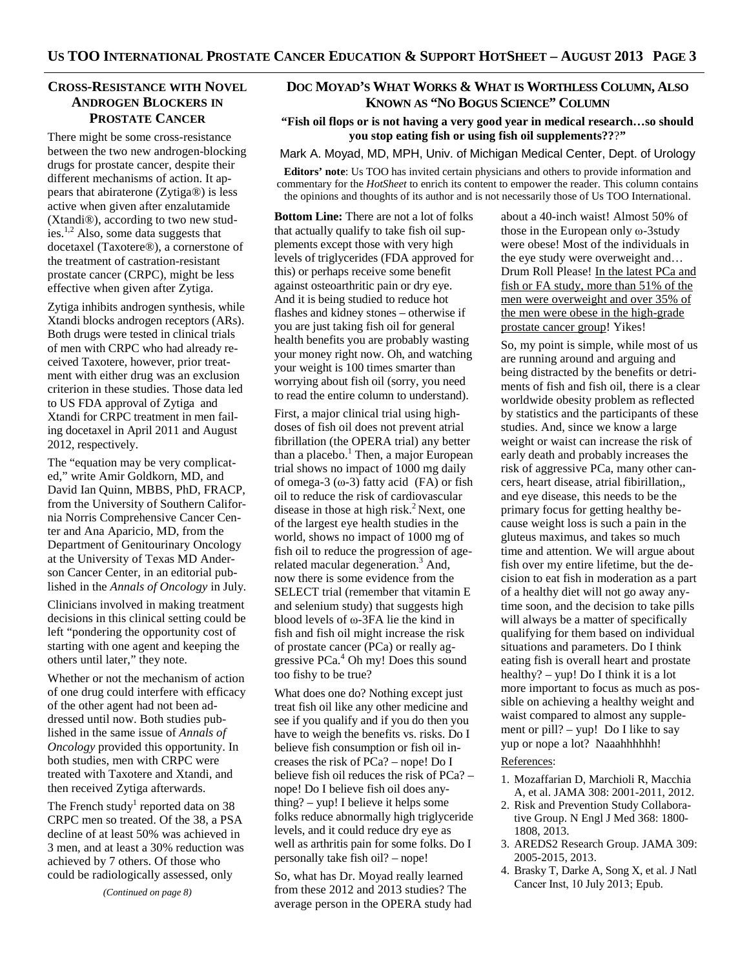## **CROSS-RESISTANCE WITH NOVEL ANDROGEN BLOCKERS IN PROSTATE CANCER**

There might be some cross-resistance between the two new androgen-blocking drugs for prostate cancer, despite their different mechanisms of action. It appears that abiraterone (Zytiga®) is less active when given after enzalutamide (Xtandi®), according to two new studies.1,2 Also, some data suggests that docetaxel (Taxotere®), a cornerstone of the treatment of castration-resistant prostate cancer (CRPC), might be less effective when given after Zytiga.

Zytiga inhibits androgen synthesis, while Xtandi blocks androgen receptors (ARs). Both drugs were tested in clinical trials of men with CRPC who had already received Taxotere, however, prior treatment with either drug was an exclusion criterion in these studies. Those data led to US FDA approval of Zytiga and Xtandi for CRPC treatment in men failing docetaxel in April 2011 and August 2012, respectively.

The "equation may be very complicated," write Amir Goldkorn, MD, and David Ian Quinn, MBBS, PhD, FRACP, from the University of Southern California Norris Comprehensive Cancer Center and Ana Aparicio, MD, from the Department of Genitourinary Oncology at the University of Texas MD Anderson Cancer Center, in an editorial published in the *Annals of Oncology* in July*.*

Clinicians involved in making treatment decisions in this clinical setting could be left "pondering the opportunity cost of starting with one agent and keeping the others until later," they note.

Whether or not the mechanism of action of one drug could interfere with efficacy of the other agent had not been addressed until now. Both studies published in the same issue of *Annals of Oncology* provided this opportunity. In both studies, men with CRPC were treated with Taxotere and Xtandi, and then received Zytiga afterwards.

The French study<sup>1</sup> reported data on 38 CRPC men so treated. Of the 38, a PSA decline of at least 50% was achieved in 3 men, and at least a 30% reduction was achieved by 7 others. Of those who could be radiologically assessed, only

*(Continued on page 8)* 

## **DOC MOYAD'S WHAT WORKS & WHAT IS WORTHLESS COLUMN, ALSO KNOWN AS "NO BOGUS SCIENCE" COLUMN**

#### **"Fish oil flops or is not having a very good year in medical research…so should you stop eating fish or using fish oil supplements??**?**"**

Mark A. Moyad, MD, MPH, Univ. of Michigan Medical Center, Dept. of Urology

**Editors' note**: Us TOO has invited certain physicians and others to provide information and commentary for the *HotSheet* to enrich its content to empower the reader. This column contains the opinions and thoughts of its author and is not necessarily those of Us TOO International.

**Bottom Line:** There are not a lot of folks that actually qualify to take fish oil supplements except those with very high levels of triglycerides (FDA approved for this) or perhaps receive some benefit against osteoarthritic pain or dry eye. And it is being studied to reduce hot flashes and kidney stones – otherwise if you are just taking fish oil for general health benefits you are probably wasting your money right now. Oh, and watching your weight is 100 times smarter than worrying about fish oil (sorry, you need to read the entire column to understand).

First, a major clinical trial using highdoses of fish oil does not prevent atrial fibrillation (the OPERA trial) any better than a placebo.<sup>1</sup> Then, a major European trial shows no impact of 1000 mg daily of omega-3  $(\omega$ -3) fatty acid (FA) or fish oil to reduce the risk of cardiovascular disease in those at high risk. $^{2}$  Next, one of the largest eye health studies in the world, shows no impact of 1000 mg of fish oil to reduce the progression of agerelated macular degeneration.<sup>3</sup> And, now there is some evidence from the SELECT trial (remember that vitamin E and selenium study) that suggests high blood levels of ω-3FA lie the kind in fish and fish oil might increase the risk of prostate cancer (PCa) or really aggressive PCa.<sup>4</sup> Oh my! Does this sound too fishy to be true?

What does one do? Nothing except just treat fish oil like any other medicine and see if you qualify and if you do then you have to weigh the benefits vs. risks. Do I believe fish consumption or fish oil increases the risk of PCa? – nope! Do I believe fish oil reduces the risk of PCa? – nope! Do I believe fish oil does anything? – yup! I believe it helps some folks reduce abnormally high triglyceride levels, and it could reduce dry eye as well as arthritis pain for some folks. Do I personally take fish oil? – nope!

So, what has Dr. Moyad really learned from these 2012 and 2013 studies? The average person in the OPERA study had

about a 40-inch waist! Almost 50% of those in the European only ω-3study were obese! Most of the individuals in the eye study were overweight and… Drum Roll Please! In the latest PCa and fish or FA study, more than 51% of the men were overweight and over 35% of the men were obese in the high-grade prostate cancer group! Yikes!

So, my point is simple, while most of us are running around and arguing and being distracted by the benefits or detriments of fish and fish oil, there is a clear worldwide obesity problem as reflected by statistics and the participants of these studies. And, since we know a large weight or waist can increase the risk of early death and probably increases the risk of aggressive PCa, many other cancers, heart disease, atrial fibirillation,, and eye disease, this needs to be the primary focus for getting healthy because weight loss is such a pain in the gluteus maximus, and takes so much time and attention. We will argue about fish over my entire lifetime, but the decision to eat fish in moderation as a part of a healthy diet will not go away anytime soon, and the decision to take pills will always be a matter of specifically qualifying for them based on individual situations and parameters. Do I think eating fish is overall heart and prostate healthy? – yup! Do I think it is a lot more important to focus as much as possible on achieving a healthy weight and waist compared to almost any supplement or pill? – yup! Do I like to say yup or nope a lot? Naaahhhhhh!

### References:

- 1. Mozaffarian D, Marchioli R, Macchia A, et al. JAMA 308: 2001-2011, 2012.
- 2. Risk and Prevention Study Collaborative Group. N Engl J Med 368: 1800- 1808, 2013.
- 3. AREDS2 Research Group. JAMA 309: 2005-2015, 2013.
- 4. Brasky T, Darke A, Song X, et al. J Natl Cancer Inst, 10 July 2013; Epub.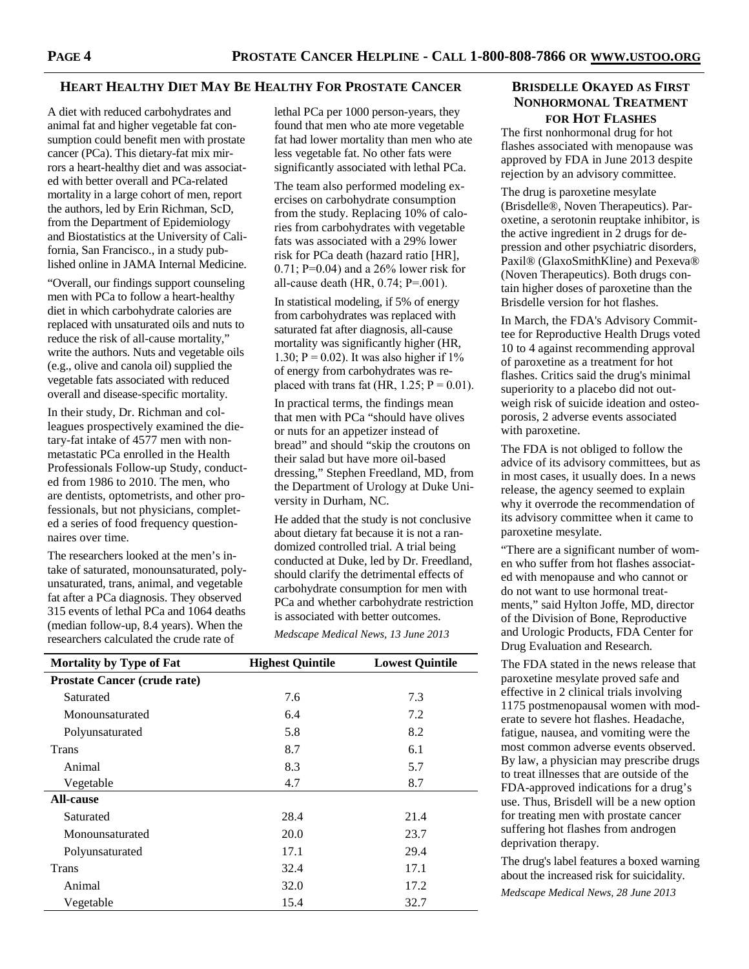#### **HEART HEALTHY DIET MAY BE HEALTHY FOR PROSTATE CANCER**

A diet with reduced carbohydrates and animal fat and higher vegetable fat consumption could benefit men with prostate cancer (PCa). This dietary-fat mix mirrors a heart-healthy diet and was associated with better overall and PCa-related mortality in a large cohort of men, report the authors, led by Erin Richman, ScD, from the Department of Epidemiology and Biostatistics at the University of California, San Francisco., in a study published online in JAMA Internal Medicine.

"Overall, our findings support counseling men with PCa to follow a heart-healthy diet in which carbohydrate calories are replaced with unsaturated oils and nuts to reduce the risk of all-cause mortality," write the authors. Nuts and vegetable oils (e.g., olive and canola oil) supplied the vegetable fats associated with reduced overall and disease-specific mortality.

In their study, Dr. Richman and colleagues prospectively examined the dietary-fat intake of 4577 men with nonmetastatic PCa enrolled in the Health Professionals Follow-up Study, conducted from 1986 to 2010. The men, who are dentists, optometrists, and other professionals, but not physicians, completed a series of food frequency questionnaires over time.

The researchers looked at the men's intake of saturated, monounsaturated, polyunsaturated, trans, animal, and vegetable fat after a PCa diagnosis. They observed 315 events of lethal PCa and 1064 deaths (median follow-up, 8.4 years). When the researchers calculated the crude rate of

lethal PCa per 1000 person-years, they found that men who ate more vegetable fat had lower mortality than men who ate less vegetable fat. No other fats were significantly associated with lethal PCa.

The team also performed modeling exercises on carbohydrate consumption from the study. Replacing 10% of calories from carbohydrates with vegetable fats was associated with a 29% lower risk for PCa death (hazard ratio [HR], 0.71; P=0.04) and a 26% lower risk for all-cause death (HR, 0.74; P=.001).

In statistical modeling, if 5% of energy from carbohydrates was replaced with saturated fat after diagnosis, all-cause mortality was significantly higher (HR, 1.30;  $P = 0.02$ ). It was also higher if 1% of energy from carbohydrates was replaced with trans fat (HR,  $1.25$ ; P = 0.01).

In practical terms, the findings mean that men with PCa "should have olives or nuts for an appetizer instead of bread" and should "skip the croutons on their salad but have more oil-based dressing," Stephen Freedland, MD, from the Department of Urology at Duke University in Durham, NC.

He added that the study is not conclusive about dietary fat because it is not a randomized controlled trial. A trial being conducted at Duke, led by Dr. Freedland, should clarify the detrimental effects of carbohydrate consumption for men with PCa and whether carbohydrate restriction is associated with better outcomes.

*Medscape Medical News, 13 June 2013* 

| <b>Mortality by Type of Fat</b>     | <b>Highest Quintile</b> | <b>Lowest Quintile</b> |
|-------------------------------------|-------------------------|------------------------|
| <b>Prostate Cancer (crude rate)</b> |                         |                        |
| Saturated                           | 7.6                     | 7.3                    |
| Monounsaturated                     | 6.4                     | 7.2                    |
| Polyunsaturated                     | 5.8                     | 8.2                    |
| Trans                               | 8.7                     | 6.1                    |
| Animal                              | 8.3                     | 5.7                    |
| Vegetable                           | 4.7                     | 8.7                    |
| <b>All-cause</b>                    |                         |                        |
| Saturated                           | 28.4                    | 21.4                   |
| Monounsaturated                     | 20.0                    | 23.7                   |
| Polyunsaturated                     | 17.1                    | 29.4                   |
| <b>Trans</b>                        | 32.4                    | 17.1                   |
| Animal                              | 32.0                    | 17.2                   |
| Vegetable                           | 15.4                    | 32.7                   |

## **BRISDELLE OKAYED AS FIRST NONHORMONAL TREATMENT FOR HOT FLASHES**

The first nonhormonal drug for hot flashes associated with menopause was approved by FDA in June 2013 despite rejection by an advisory committee.

The drug is paroxetine mesylate (Brisdelle®, Noven Therapeutics). Paroxetine, a serotonin reuptake inhibitor, is the active ingredient in 2 drugs for depression and other psychiatric disorders, Paxil® (GlaxoSmithKline) and Pexeva® (Noven Therapeutics). Both drugs contain higher doses of paroxetine than the Brisdelle version for hot flashes.

In March, the FDA's Advisory Committee for Reproductive Health Drugs voted 10 to 4 against recommending approval of paroxetine as a treatment for hot flashes. Critics said the drug's minimal superiority to a placebo did not outweigh risk of suicide ideation and osteoporosis, 2 adverse events associated with paroxetine.

The FDA is not obliged to follow the advice of its advisory committees, but as in most cases, it usually does. In a news release, the agency seemed to explain why it overrode the recommendation of its advisory committee when it came to paroxetine mesylate.

"There are a significant number of women who suffer from hot flashes associated with menopause and who cannot or do not want to use hormonal treatments," said Hylton Joffe, MD, director of the Division of Bone, Reproductive and Urologic Products, FDA Center for Drug Evaluation and Research.

The FDA stated in the news release that paroxetine mesylate proved safe and effective in 2 clinical trials involving 1175 postmenopausal women with moderate to severe hot flashes. Headache, fatigue, nausea, and vomiting were the most common adverse events observed. By law, a physician may prescribe drugs to treat illnesses that are outside of the FDA-approved indications for a drug's use. Thus, Brisdell will be a new option for treating men with prostate cancer suffering hot flashes from androgen deprivation therapy.

The drug's label features a boxed warning about the increased risk for suicidality. *Medscape Medical News, 28 June 2013*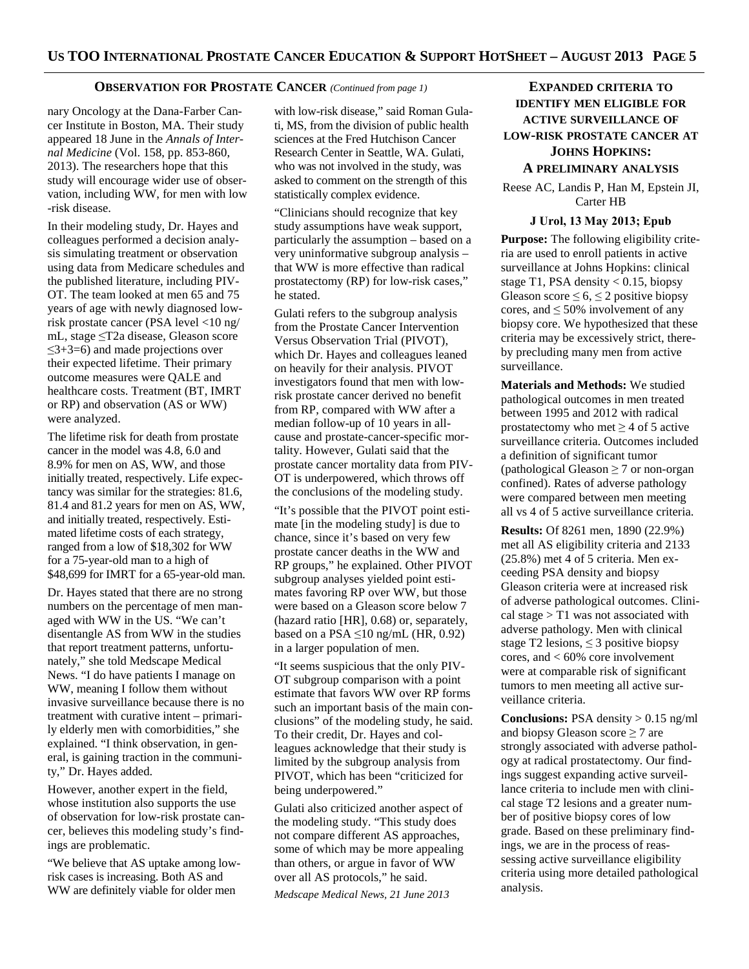#### **OBSERVATION FOR PROSTATE CANCER** *(Continued from page 1)*

nary Oncology at the Dana-Farber Cancer Institute in Boston, MA. Their study appeared 18 June in the *Annals of Internal Medicine* (Vol. 158, pp. 853-860, 2013). The researchers hope that this study will encourage wider use of observation, including WW, for men with low -risk disease.

In their modeling study, Dr. Hayes and colleagues performed a decision analysis simulating treatment or observation using data from Medicare schedules and the published literature, including PIV-OT. The team looked at men 65 and 75 years of age with newly diagnosed lowrisk prostate cancer (PSA level <10 ng/ mL, stage ≤T2a disease, Gleason score ≤3+3=6) and made projections over their expected lifetime. Their primary outcome measures were QALE and healthcare costs. Treatment (BT, IMRT or RP) and observation (AS or WW) were analyzed.

The lifetime risk for death from prostate cancer in the model was 4.8, 6.0 and 8.9% for men on AS, WW, and those initially treated, respectively. Life expectancy was similar for the strategies: 81.6, 81.4 and 81.2 years for men on AS, WW, and initially treated, respectively. Estimated lifetime costs of each strategy, ranged from a low of \$18,302 for WW for a 75-year-old man to a high of \$48,699 for IMRT for a 65-year-old man.

Dr. Hayes stated that there are no strong numbers on the percentage of men managed with WW in the US. "We can't disentangle AS from WW in the studies that report treatment patterns, unfortunately," she told Medscape Medical News. "I do have patients I manage on WW, meaning I follow them without invasive surveillance because there is no treatment with curative intent – primarily elderly men with comorbidities," she explained. "I think observation, in general, is gaining traction in the community," Dr. Hayes added.

However, another expert in the field, whose institution also supports the use of observation for low-risk prostate cancer, believes this modeling study's findings are problematic.

"We believe that AS uptake among lowrisk cases is increasing. Both AS and WW are definitely viable for older men

with low-risk disease," said Roman Gulati, MS, from the division of public health sciences at the Fred Hutchison Cancer Research Center in Seattle, WA. Gulati, who was not involved in the study, was asked to comment on the strength of this statistically complex evidence.

"Clinicians should recognize that key study assumptions have weak support, particularly the assumption – based on a very uninformative subgroup analysis – that WW is more effective than radical prostatectomy (RP) for low-risk cases," he stated.

Gulati refers to the subgroup analysis from the Prostate Cancer Intervention Versus Observation Trial (PIVOT), which Dr. Hayes and colleagues leaned on heavily for their analysis. PIVOT investigators found that men with lowrisk prostate cancer derived no benefit from RP, compared with WW after a median follow-up of 10 years in allcause and prostate-cancer-specific mortality. However, Gulati said that the prostate cancer mortality data from PIV-OT is underpowered, which throws off the conclusions of the modeling study.

"It's possible that the PIVOT point estimate [in the modeling study] is due to chance, since it's based on very few prostate cancer deaths in the WW and RP groups," he explained. Other PIVOT subgroup analyses yielded point estimates favoring RP over WW, but those were based on a Gleason score below 7 (hazard ratio [HR], 0.68) or, separately, based on a PSA  $\leq$ 10 ng/mL (HR, 0.92) in a larger population of men.

"It seems suspicious that the only PIV-OT subgroup comparison with a point estimate that favors WW over RP forms such an important basis of the main conclusions" of the modeling study, he said. To their credit, Dr. Hayes and colleagues acknowledge that their study is limited by the subgroup analysis from PIVOT, which has been "criticized for being underpowered."

Gulati also criticized another aspect of the modeling study. "This study does not compare different AS approaches, some of which may be more appealing than others, or argue in favor of WW over all AS protocols," he said.

*Medscape Medical News, 21 June 2013* 

# **EXPANDED CRITERIA TO IDENTIFY MEN ELIGIBLE FOR ACTIVE SURVEILLANCE OF LOW-RISK PROSTATE CANCER AT JOHNS HOPKINS: A PRELIMINARY ANALYSIS**

Reese AC, Landis P, Han M, Epstein JI, Carter HB

#### **J Urol, 13 May 2013; Epub**

**Purpose:** The following eligibility criteria are used to enroll patients in active surveillance at Johns Hopkins: clinical stage T1, PSA density < 0.15, biopsy Gleason score  $\leq 6, \leq 2$  positive biopsy cores, and  $\leq 50\%$  involvement of any biopsy core. We hypothesized that these criteria may be excessively strict, thereby precluding many men from active surveillance.

**Materials and Methods:** We studied pathological outcomes in men treated between 1995 and 2012 with radical prostatectomy who met  $\geq$  4 of 5 active surveillance criteria. Outcomes included a definition of significant tumor (pathological Gleason  $\geq$  7 or non-organ confined). Rates of adverse pathology were compared between men meeting all vs 4 of 5 active surveillance criteria.

**Results:** Of 8261 men, 1890 (22.9%) met all AS eligibility criteria and 2133 (25.8%) met 4 of 5 criteria. Men exceeding PSA density and biopsy Gleason criteria were at increased risk of adverse pathological outcomes. Clinical stage > T1 was not associated with adverse pathology. Men with clinical stage T2 lesions,  $\leq$  3 positive biopsy cores, and < 60% core involvement were at comparable risk of significant tumors to men meeting all active surveillance criteria.

**Conclusions:** PSA density > 0.15 ng/ml and biopsy Gleason score  $\geq 7$  are strongly associated with adverse pathology at radical prostatectomy. Our findings suggest expanding active surveillance criteria to include men with clinical stage T2 lesions and a greater number of positive biopsy cores of low grade. Based on these preliminary findings, we are in the process of reassessing active surveillance eligibility criteria using more detailed pathological analysis.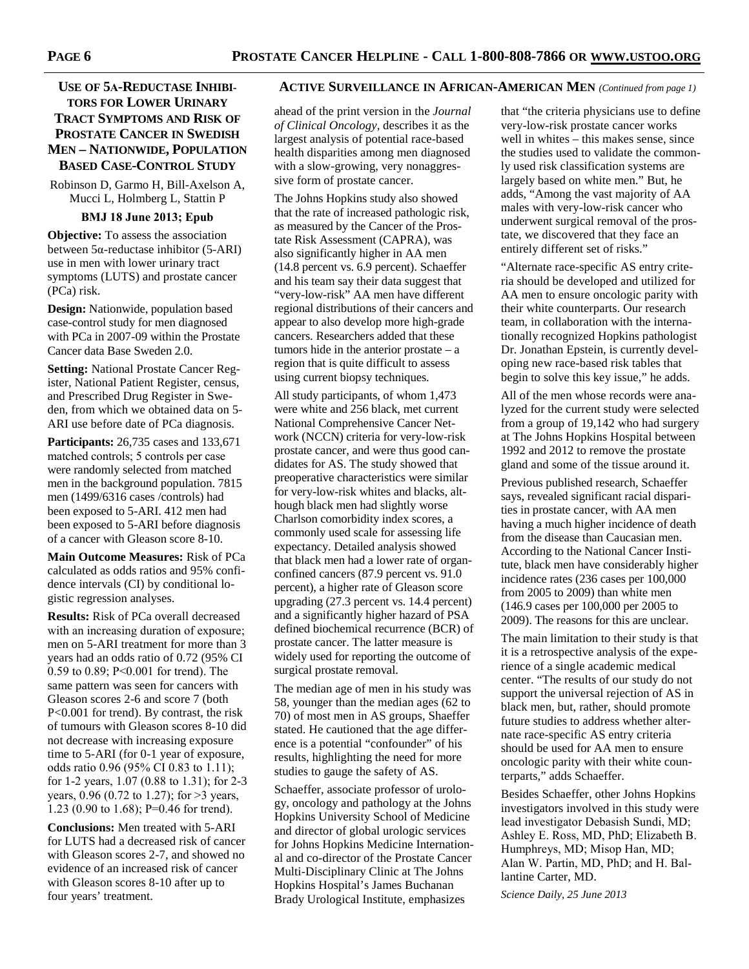# **TORS FOR LOWER URINARY TRACT SYMPTOMS AND RISK OF PROSTATE CANCER IN SWEDISH MEN – NATIONWIDE, POPULATION BASED CASE-CONTROL STUDY**

Robinson D, Garmo H, Bill-Axelson A, Mucci L, Holmberg L, Stattin P

## **BMJ 18 June 2013; Epub**

**Objective:** To assess the association between 5α-reductase inhibitor (5-ARI) use in men with lower urinary tract symptoms (LUTS) and prostate cancer (PCa) risk.

**Design:** Nationwide, population based case-control study for men diagnosed with PCa in 2007-09 within the Prostate Cancer data Base Sweden 2.0.

**Setting:** National Prostate Cancer Register, National Patient Register, census, and Prescribed Drug Register in Sweden, from which we obtained data on 5- ARI use before date of PCa diagnosis.

**Participants:** 26,735 cases and 133,671 matched controls; 5 controls per case were randomly selected from matched men in the background population. 7815 men (1499/6316 cases /controls) had been exposed to 5-ARI. 412 men had been exposed to 5-ARI before diagnosis of a cancer with Gleason score 8-10.

**Main Outcome Measures:** Risk of PCa calculated as odds ratios and 95% confidence intervals (CI) by conditional logistic regression analyses.

**Results:** Risk of PCa overall decreased with an increasing duration of exposure; men on 5-ARI treatment for more than 3 years had an odds ratio of 0.72 (95% CI 0.59 to 0.89; P<0.001 for trend). The same pattern was seen for cancers with Gleason scores 2-6 and score 7 (both P<0.001 for trend). By contrast, the risk of tumours with Gleason scores 8-10 did not decrease with increasing exposure time to 5-ARI (for 0-1 year of exposure, odds ratio 0.96 (95% CI 0.83 to 1.11); for 1-2 years, 1.07 (0.88 to 1.31); for 2-3 years, 0.96 (0.72 to 1.27); for >3 years, 1.23 (0.90 to 1.68); P=0.46 for trend).

**Conclusions:** Men treated with 5-ARI for LUTS had a decreased risk of cancer with Gleason scores 2-7, and showed no evidence of an increased risk of cancer with Gleason scores 8-10 after up to four years' treatment.

## **USE OF 5A-REDUCTASE INHIBI-** ACTIVE SURVEILLANCE IN AFRICAN-AMERICAN MEN (Continued from page 1)

ahead of the print version in the *Journal of Clinical Oncology*, describes it as the largest analysis of potential race-based health disparities among men diagnosed with a slow-growing, very nonaggressive form of prostate cancer.

The Johns Hopkins study also showed that the rate of increased pathologic risk, as measured by the Cancer of the Prostate Risk Assessment (CAPRA), was also significantly higher in AA men (14.8 percent vs. 6.9 percent). Schaeffer and his team say their data suggest that "very-low-risk" AA men have different regional distributions of their cancers and appear to also develop more high-grade cancers. Researchers added that these tumors hide in the anterior prostate  $-$  a region that is quite difficult to assess using current biopsy techniques.

All study participants, of whom 1,473 were white and 256 black, met current National Comprehensive Cancer Network (NCCN) criteria for very-low-risk prostate cancer, and were thus good candidates for AS. The study showed that preoperative characteristics were similar for very-low-risk whites and blacks, although black men had slightly worse Charlson comorbidity index scores, a commonly used scale for assessing life expectancy. Detailed analysis showed that black men had a lower rate of organconfined cancers (87.9 percent vs. 91.0 percent), a higher rate of Gleason score upgrading (27.3 percent vs. 14.4 percent) and a significantly higher hazard of PSA defined biochemical recurrence (BCR) of prostate cancer. The latter measure is widely used for reporting the outcome of surgical prostate removal.

The median age of men in his study was 58, younger than the median ages (62 to 70) of most men in AS groups, Shaeffer stated. He cautioned that the age difference is a potential "confounder" of his results, highlighting the need for more studies to gauge the safety of AS.

Schaeffer, associate professor of urology, oncology and pathology at the Johns Hopkins University School of Medicine and director of global urologic services for Johns Hopkins Medicine International and co-director of the Prostate Cancer Multi-Disciplinary Clinic at The Johns Hopkins Hospital's James Buchanan Brady Urological Institute, emphasizes

that "the criteria physicians use to define very-low-risk prostate cancer works well in whites – this makes sense, since the studies used to validate the commonly used risk classification systems are largely based on white men." But, he adds, "Among the vast majority of AA males with very-low-risk cancer who underwent surgical removal of the prostate, we discovered that they face an entirely different set of risks."

"Alternate race-specific AS entry criteria should be developed and utilized for AA men to ensure oncologic parity with their white counterparts. Our research team, in collaboration with the internationally recognized Hopkins pathologist Dr. Jonathan Epstein, is currently developing new race-based risk tables that begin to solve this key issue," he adds.

All of the men whose records were analyzed for the current study were selected from a group of 19,142 who had surgery at The Johns Hopkins Hospital between 1992 and 2012 to remove the prostate gland and some of the tissue around it.

Previous published research, Schaeffer says, revealed significant racial disparities in prostate cancer, with AA men having a much higher incidence of death from the disease than Caucasian men. According to the National Cancer Institute, black men have considerably higher incidence rates (236 cases per 100,000 from 2005 to 2009) than white men (146.9 cases per 100,000 per 2005 to 2009). The reasons for this are unclear.

The main limitation to their study is that it is a retrospective analysis of the experience of a single academic medical center. "The results of our study do not support the universal rejection of AS in black men, but, rather, should promote future studies to address whether alternate race-specific AS entry criteria should be used for AA men to ensure oncologic parity with their white counterparts," adds Schaeffer.

Besides Schaeffer, other Johns Hopkins investigators involved in this study were lead investigator Debasish Sundi, MD; Ashley E. Ross, MD, PhD; Elizabeth B. Humphreys, MD; Misop Han, MD; Alan W. Partin, MD, PhD; and H. Ballantine Carter, MD.

*Science Daily, 25 June 2013*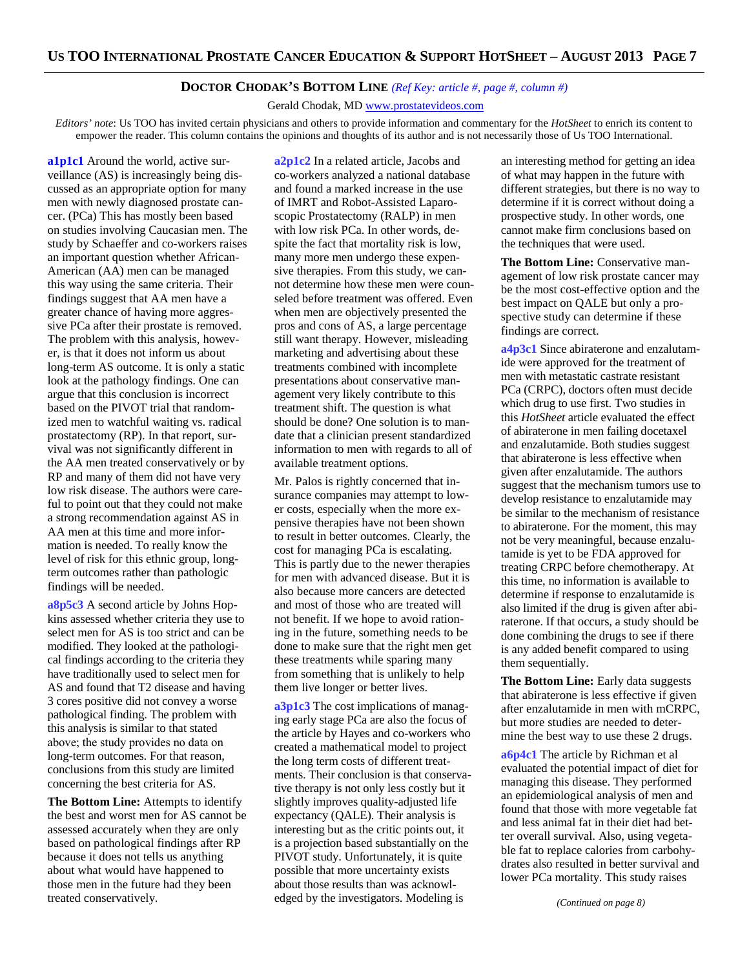### **DOCTOR CHODAK'S BOTTOM LINE** *(Ref Key: article #, page #, column #)*

Gerald Chodak, MD www.prostatevideos.com

*Editors' note*: Us TOO has invited certain physicians and others to provide information and commentary for the *HotSheet* to enrich its content to empower the reader. This column contains the opinions and thoughts of its author and is not necessarily those of Us TOO International.

a1p1c1 Around the world, active surveillance (AS) is increasingly being discussed as an appropriate option for many men with newly diagnosed prostate cancer. (PCa) This has mostly been based on studies involving Caucasian men. The study by Schaeffer and co-workers raises an important question whether African-American (AA) men can be managed this way using the same criteria. Their findings suggest that AA men have a greater chance of having more aggressive PCa after their prostate is removed. The problem with this analysis, however, is that it does not inform us about long-term AS outcome. It is only a static look at the pathology findings. One can argue that this conclusion is incorrect based on the PIVOT trial that randomized men to watchful waiting vs. radical prostatectomy (RP). In that report, survival was not significantly different in the AA men treated conservatively or by RP and many of them did not have very low risk disease. The authors were careful to point out that they could not make a strong recommendation against AS in AA men at this time and more information is needed. To really know the level of risk for this ethnic group, longterm outcomes rather than pathologic findings will be needed.

**a8p5c3** A second article by Johns Hopkins assessed whether criteria they use to select men for AS is too strict and can be modified. They looked at the pathological findings according to the criteria they have traditionally used to select men for AS and found that T2 disease and having 3 cores positive did not convey a worse pathological finding. The problem with this analysis is similar to that stated above; the study provides no data on long-term outcomes. For that reason, conclusions from this study are limited concerning the best criteria for AS.

**The Bottom Line:** Attempts to identify the best and worst men for AS cannot be assessed accurately when they are only based on pathological findings after RP because it does not tells us anything about what would have happened to those men in the future had they been treated conservatively.

**a2p1c2** In a related article, Jacobs and co-workers analyzed a national database and found a marked increase in the use of IMRT and Robot-Assisted Laparoscopic Prostatectomy (RALP) in men with low risk PCa. In other words, despite the fact that mortality risk is low, many more men undergo these expensive therapies. From this study, we cannot determine how these men were counseled before treatment was offered. Even when men are objectively presented the pros and cons of AS, a large percentage still want therapy. However, misleading marketing and advertising about these treatments combined with incomplete presentations about conservative management very likely contribute to this treatment shift. The question is what should be done? One solution is to mandate that a clinician present standardized information to men with regards to all of available treatment options.

Mr. Palos is rightly concerned that insurance companies may attempt to lower costs, especially when the more expensive therapies have not been shown to result in better outcomes. Clearly, the cost for managing PCa is escalating. This is partly due to the newer therapies for men with advanced disease. But it is also because more cancers are detected and most of those who are treated will not benefit. If we hope to avoid rationing in the future, something needs to be done to make sure that the right men get these treatments while sparing many from something that is unlikely to help them live longer or better lives.

**a3p1c3** The cost implications of managing early stage PCa are also the focus of the article by Hayes and co-workers who created a mathematical model to project the long term costs of different treatments. Their conclusion is that conservative therapy is not only less costly but it slightly improves quality-adjusted life expectancy (QALE). Their analysis is interesting but as the critic points out, it is a projection based substantially on the PIVOT study. Unfortunately, it is quite possible that more uncertainty exists about those results than was acknowledged by the investigators. Modeling is

an interesting method for getting an idea of what may happen in the future with different strategies, but there is no way to determine if it is correct without doing a prospective study. In other words, one cannot make firm conclusions based on the techniques that were used.

**The Bottom Line:** Conservative management of low risk prostate cancer may be the most cost-effective option and the best impact on QALE but only a prospective study can determine if these findings are correct.

**a4p3c1** Since abiraterone and enzalutamide were approved for the treatment of men with metastatic castrate resistant PCa (CRPC), doctors often must decide which drug to use first. Two studies in this *HotSheet* article evaluated the effect of abiraterone in men failing docetaxel and enzalutamide. Both studies suggest that abiraterone is less effective when given after enzalutamide. The authors suggest that the mechanism tumors use to develop resistance to enzalutamide may be similar to the mechanism of resistance to abiraterone. For the moment, this may not be very meaningful, because enzalutamide is yet to be FDA approved for treating CRPC before chemotherapy. At this time, no information is available to determine if response to enzalutamide is also limited if the drug is given after abiraterone. If that occurs, a study should be done combining the drugs to see if there is any added benefit compared to using them sequentially.

**The Bottom Line:** Early data suggests that abiraterone is less effective if given after enzalutamide in men with mCRPC, but more studies are needed to determine the best way to use these 2 drugs.

**a6p4c1** The article by Richman et al evaluated the potential impact of diet for managing this disease. They performed an epidemiological analysis of men and found that those with more vegetable fat and less animal fat in their diet had better overall survival. Also, using vegetable fat to replace calories from carbohydrates also resulted in better survival and lower PCa mortality. This study raises